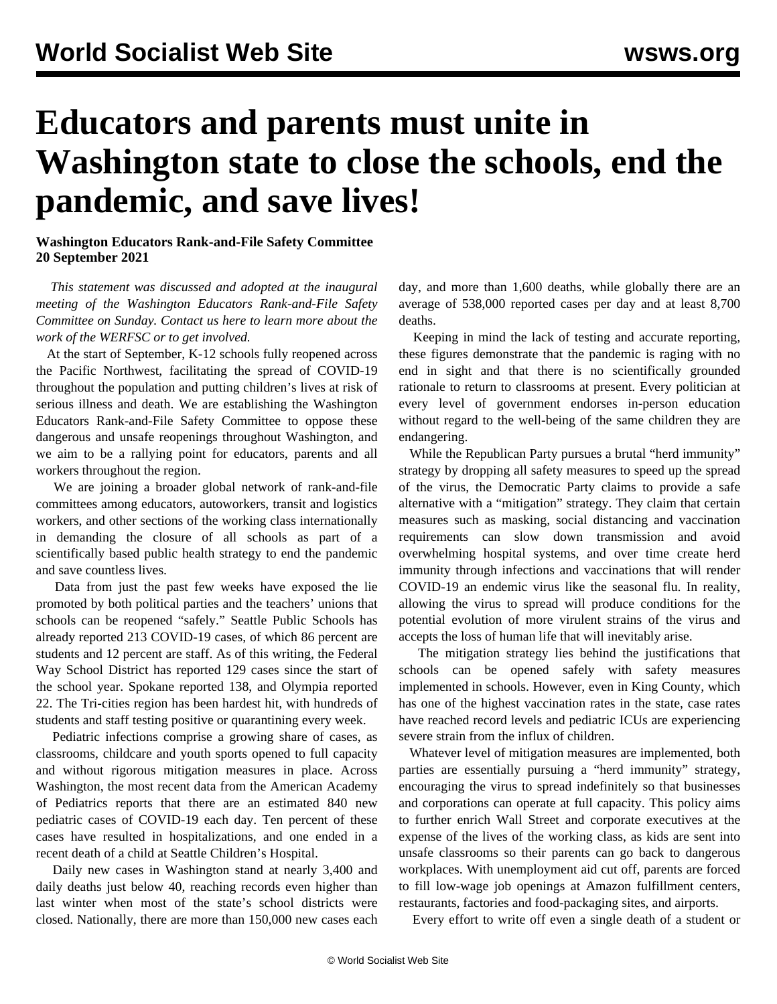## **Educators and parents must unite in Washington state to close the schools, end the pandemic, and save lives!**

**Washington Educators Rank-and-File Safety Committee 20 September 2021**

 *This statement was discussed and adopted at the inaugural meeting of the Washington Educators Rank-and-File Safety Committee on Sunday. Contact us [here](/edsafety) to learn more about the work of the WERFSC or to get involved.*

 At the start of September, K-12 schools fully reopened across the Pacific Northwest, facilitating the spread of COVID-19 throughout the population and putting children's lives at risk of serious illness and death. We are establishing the Washington Educators Rank-and-File Safety Committee to oppose these dangerous and unsafe reopenings throughout Washington, and we aim to be a rallying point for educators, parents and all workers throughout the region.

 We are joining a broader global network of rank-and-file committees among educators, autoworkers, transit and logistics workers, and other sections of the working class internationally in demanding the closure of all schools as part of a scientifically based public health strategy to end the pandemic and save countless lives.

 Data from just the past few weeks have exposed the lie promoted by both political parties and the teachers' unions that schools can be reopened "safely." Seattle Public Schools has already reported 213 COVID-19 cases, of which 86 percent are students and 12 percent are staff. As of this writing, the Federal Way School District has reported 129 cases since the start of the school year. Spokane reported 138, and Olympia reported 22. The Tri-cities region has been hardest hit, with hundreds of students and staff testing positive or quarantining every week.

 Pediatric infections comprise a growing share of cases, as classrooms, childcare and youth sports opened to full capacity and without rigorous mitigation measures in place. Across Washington, the most recent data from the American Academy of Pediatrics reports that there are an estimated 840 new pediatric cases of COVID-19 each day. Ten percent of these cases have resulted in hospitalizations, and one ended in a recent death of a child at Seattle Children's Hospital.

 Daily new cases in Washington stand at nearly 3,400 and daily deaths just below 40, reaching records even higher than last winter when most of the state's school districts were closed. Nationally, there are more than 150,000 new cases each day, and more than 1,600 deaths, while globally there are an average of 538,000 reported cases per day and at least 8,700 deaths.

 Keeping in mind the lack of testing and accurate reporting, these figures demonstrate that the pandemic is raging with no end in sight and that there is no scientifically grounded rationale to return to classrooms at present. Every politician at every level of government endorses in-person education without regard to the well-being of the same children they are endangering.

 While the Republican Party pursues a brutal "herd immunity" strategy by dropping all safety measures to speed up the spread of the virus, the Democratic Party claims to provide a safe alternative with a "mitigation" strategy. They claim that certain measures such as masking, social distancing and vaccination requirements can slow down transmission and avoid overwhelming hospital systems, and over time create herd immunity through infections and vaccinations that will render COVID-19 an endemic virus like the seasonal flu. In reality, allowing the virus to spread will produce conditions for the potential evolution of more virulent strains of the virus and accepts the loss of human life that will inevitably arise.

 The mitigation strategy lies behind the justifications that schools can be opened safely with safety measures implemented in schools. However, even in King County, which has one of the highest vaccination rates in the state, case rates have reached record levels and pediatric ICUs are experiencing severe strain from the influx of children.

 Whatever level of mitigation measures are implemented, both parties are essentially pursuing a "herd immunity" strategy, encouraging the virus to spread indefinitely so that businesses and corporations can operate at full capacity. This policy aims to further enrich Wall Street and corporate executives at the expense of the lives of the working class, as kids are sent into unsafe classrooms so their parents can go back to dangerous workplaces. With unemployment aid cut off, parents are forced to fill low-wage job openings at Amazon fulfillment centers, restaurants, factories and food-packaging sites, and airports.

Every effort to write off even a single death of a student or